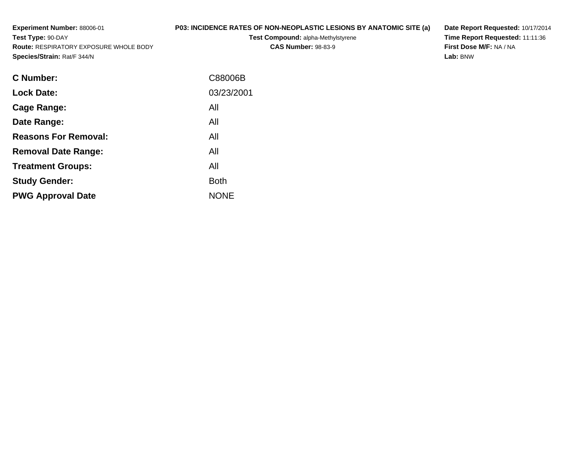**Experiment Number:** 88006-01**Test Type:** 90-DAY **Route:** RESPIRATORY EXPOSURE WHOLE BODY**Species/Strain:** Rat/F 344/N**P03: INCIDENCE RATES OF NON-NEOPLASTIC LESIONS BY ANATOMIC SITE (a)Test Compound:** alpha-Methylstyrene**CAS Number:** 98-83-9**Date Report Requested:** 10/17/2014 **Time Report Requested:** 11:11:36**First Dose M/F:** NA / NA**Lab:** BNW

| <b>C Number:</b>            | C88006B     |
|-----------------------------|-------------|
| <b>Lock Date:</b>           | 03/23/2001  |
| <b>Cage Range:</b>          | All         |
| Date Range:                 | All         |
| <b>Reasons For Removal:</b> | All         |
| <b>Removal Date Range:</b>  | All         |
| <b>Treatment Groups:</b>    | All         |
| <b>Study Gender:</b>        | <b>Both</b> |
| <b>PWG Approval Date</b>    | <b>NONE</b> |
|                             |             |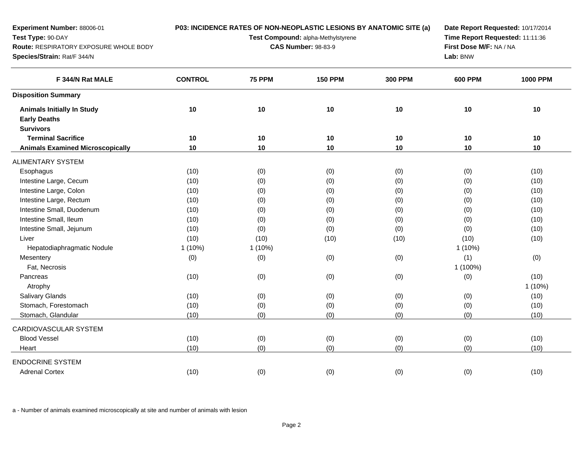| Experiment Number: 88006-01<br>Test Type: 90-DAY<br>Route: RESPIRATORY EXPOSURE WHOLE BODY<br>Species/Strain: Rat/F 344/N | P03: INCIDENCE RATES OF NON-NEOPLASTIC LESIONS BY ANATOMIC SITE (a)<br>Test Compound: alpha-Methylstyrene<br><b>CAS Number: 98-83-9</b> |               |                |                | Date Report Requested: 10/17/2014<br>Time Report Requested: 11:11:36<br>First Dose M/F: NA / NA<br>Lab: BNW |                 |  |
|---------------------------------------------------------------------------------------------------------------------------|-----------------------------------------------------------------------------------------------------------------------------------------|---------------|----------------|----------------|-------------------------------------------------------------------------------------------------------------|-----------------|--|
| F 344/N Rat MALE                                                                                                          | <b>CONTROL</b>                                                                                                                          | <b>75 PPM</b> | <b>150 PPM</b> | <b>300 PPM</b> | <b>600 PPM</b>                                                                                              | <b>1000 PPM</b> |  |
| <b>Disposition Summary</b>                                                                                                |                                                                                                                                         |               |                |                |                                                                                                             |                 |  |
| <b>Animals Initially In Study</b>                                                                                         | $10$                                                                                                                                    | 10            | 10             | 10             | 10                                                                                                          | 10              |  |
| <b>Early Deaths</b>                                                                                                       |                                                                                                                                         |               |                |                |                                                                                                             |                 |  |
| <b>Survivors</b>                                                                                                          |                                                                                                                                         |               |                |                |                                                                                                             |                 |  |
| <b>Terminal Sacrifice</b>                                                                                                 | 10                                                                                                                                      | 10            | 10             | 10             | 10                                                                                                          | 10              |  |
| <b>Animals Examined Microscopically</b>                                                                                   | 10                                                                                                                                      | 10            | 10             | 10             | 10                                                                                                          | 10              |  |
| <b>ALIMENTARY SYSTEM</b>                                                                                                  |                                                                                                                                         |               |                |                |                                                                                                             |                 |  |
| Esophagus                                                                                                                 | (10)                                                                                                                                    | (0)           | (0)            | (0)            | (0)                                                                                                         | (10)            |  |
| Intestine Large, Cecum                                                                                                    | (10)                                                                                                                                    | (0)           | (0)            | (0)            | (0)                                                                                                         | (10)            |  |
| Intestine Large, Colon                                                                                                    | (10)                                                                                                                                    | (0)           | (0)            | (0)            | (0)                                                                                                         | (10)            |  |
| Intestine Large, Rectum                                                                                                   | (10)                                                                                                                                    | (0)           | (0)            | (0)            | (0)                                                                                                         | (10)            |  |
| Intestine Small, Duodenum                                                                                                 | (10)                                                                                                                                    | (0)           | (0)            | (0)            | (0)                                                                                                         | (10)            |  |
| Intestine Small, Ileum                                                                                                    | (10)                                                                                                                                    | (0)           | (0)            | (0)            | (0)                                                                                                         | (10)            |  |
| Intestine Small, Jejunum                                                                                                  | (10)                                                                                                                                    | (0)           | (0)            | (0)            | (0)                                                                                                         | (10)            |  |
| Liver                                                                                                                     | (10)                                                                                                                                    | (10)          | (10)           | (10)           | (10)                                                                                                        | (10)            |  |
| Hepatodiaphragmatic Nodule                                                                                                | 1(10%)                                                                                                                                  | $1(10\%)$     |                |                | $1(10\%)$                                                                                                   |                 |  |
| Mesentery                                                                                                                 | (0)                                                                                                                                     | (0)           | (0)            | (0)            | (1)                                                                                                         | (0)             |  |
| Fat, Necrosis                                                                                                             |                                                                                                                                         |               |                |                | 1 (100%)                                                                                                    |                 |  |
| Pancreas                                                                                                                  | (10)                                                                                                                                    | (0)           | (0)            | (0)            | (0)                                                                                                         | (10)            |  |
| Atrophy                                                                                                                   |                                                                                                                                         |               |                |                |                                                                                                             | 1 (10%)         |  |
| Salivary Glands                                                                                                           | (10)                                                                                                                                    | (0)           | (0)            | (0)            | (0)                                                                                                         | (10)            |  |
| Stomach, Forestomach                                                                                                      | (10)                                                                                                                                    | (0)           | (0)            | (0)            | (0)                                                                                                         | (10)            |  |
| Stomach, Glandular                                                                                                        | (10)                                                                                                                                    | (0)           | (0)            | (0)            | (0)                                                                                                         | (10)            |  |
| CARDIOVASCULAR SYSTEM                                                                                                     |                                                                                                                                         |               |                |                |                                                                                                             |                 |  |
| <b>Blood Vessel</b>                                                                                                       | (10)                                                                                                                                    | (0)           | (0)            | (0)            | (0)                                                                                                         | (10)            |  |
| Heart                                                                                                                     | (10)                                                                                                                                    | (0)           | (0)            | (0)            | (0)                                                                                                         | (10)            |  |
| <b>ENDOCRINE SYSTEM</b>                                                                                                   |                                                                                                                                         |               |                |                |                                                                                                             |                 |  |
| <b>Adrenal Cortex</b>                                                                                                     | (10)                                                                                                                                    | (0)           | (0)            | (0)            | (0)                                                                                                         | (10)            |  |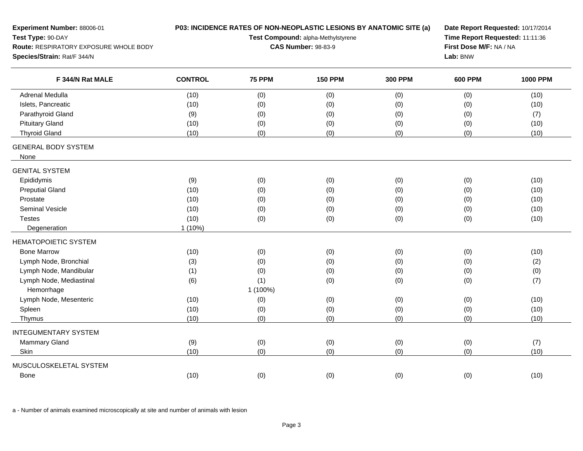| Experiment Number: 88006-01                                 | P03: INCIDENCE RATES OF NON-NEOPLASTIC LESIONS BY ANATOMIC SITE (a)<br>Date Report Requested: 10/17/2014 |               |                |                |                                                            |                 |  |
|-------------------------------------------------------------|----------------------------------------------------------------------------------------------------------|---------------|----------------|----------------|------------------------------------------------------------|-----------------|--|
| Test Type: 90-DAY<br>Route: RESPIRATORY EXPOSURE WHOLE BODY | Test Compound: alpha-Methylstyrene<br><b>CAS Number: 98-83-9</b>                                         |               |                |                | Time Report Requested: 11:11:36<br>First Dose M/F: NA / NA |                 |  |
| Species/Strain: Rat/F 344/N                                 |                                                                                                          |               |                |                |                                                            | Lab: BNW        |  |
| F 344/N Rat MALE                                            | <b>CONTROL</b>                                                                                           | <b>75 PPM</b> | <b>150 PPM</b> | <b>300 PPM</b> | <b>600 PPM</b>                                             | <b>1000 PPM</b> |  |
| Adrenal Medulla                                             | (10)                                                                                                     | (0)           | (0)            | (0)            | (0)                                                        | (10)            |  |
| Islets, Pancreatic                                          | (10)                                                                                                     | (0)           | (0)            | (0)            | (0)                                                        | (10)            |  |
| Parathyroid Gland                                           | (9)                                                                                                      | (0)           | (0)            | (0)            | (0)                                                        | (7)             |  |
| <b>Pituitary Gland</b>                                      | (10)                                                                                                     | (0)           | (0)            | (0)            | (0)                                                        | (10)            |  |
| <b>Thyroid Gland</b>                                        | (10)                                                                                                     | (0)           | (0)            | (0)            | (0)                                                        | (10)            |  |
| <b>GENERAL BODY SYSTEM</b>                                  |                                                                                                          |               |                |                |                                                            |                 |  |
| None                                                        |                                                                                                          |               |                |                |                                                            |                 |  |
| <b>GENITAL SYSTEM</b>                                       |                                                                                                          |               |                |                |                                                            |                 |  |
| Epididymis                                                  | (9)                                                                                                      | (0)           | (0)            | (0)            | (0)                                                        | (10)            |  |
| <b>Preputial Gland</b>                                      | (10)                                                                                                     | (0)           | (0)            | (0)            | (0)                                                        | (10)            |  |
| Prostate                                                    | (10)                                                                                                     | (0)           | (0)            | (0)            | (0)                                                        | (10)            |  |
| Seminal Vesicle                                             | (10)                                                                                                     | (0)           | (0)            | (0)            | (0)                                                        | (10)            |  |
| <b>Testes</b>                                               | (10)                                                                                                     | (0)           | (0)            | (0)            | (0)                                                        | (10)            |  |
| Degeneration                                                | $1(10\%)$                                                                                                |               |                |                |                                                            |                 |  |
| <b>HEMATOPOIETIC SYSTEM</b>                                 |                                                                                                          |               |                |                |                                                            |                 |  |
| <b>Bone Marrow</b>                                          | (10)                                                                                                     | (0)           | (0)            | (0)            | (0)                                                        | (10)            |  |
| Lymph Node, Bronchial                                       | (3)                                                                                                      | (0)           | (0)            | (0)            | (0)                                                        | (2)             |  |
| Lymph Node, Mandibular                                      | (1)                                                                                                      | (0)           | (0)            | (0)            | (0)                                                        | (0)             |  |
| Lymph Node, Mediastinal                                     | (6)                                                                                                      | (1)           | (0)            | (0)            | (0)                                                        | (7)             |  |
| Hemorrhage                                                  |                                                                                                          | 1 (100%)      |                |                |                                                            |                 |  |
| Lymph Node, Mesenteric                                      | (10)                                                                                                     | (0)           | (0)            | (0)            | (0)                                                        | (10)            |  |
| Spleen                                                      | (10)                                                                                                     | (0)           | (0)            | (0)            | (0)                                                        | (10)            |  |
| Thymus                                                      | (10)                                                                                                     | (0)           | (0)            | (0)            | (0)                                                        | (10)            |  |
| <b>INTEGUMENTARY SYSTEM</b>                                 |                                                                                                          |               |                |                |                                                            |                 |  |
| Mammary Gland                                               | (9)                                                                                                      | (0)           | (0)            | (0)            | (0)                                                        | (7)             |  |
| Skin                                                        | (10)                                                                                                     | (0)           | (0)            | (0)            | (0)                                                        | (10)            |  |
| MUSCULOSKELETAL SYSTEM                                      |                                                                                                          |               |                |                |                                                            |                 |  |
| Bone                                                        | (10)                                                                                                     | (0)           | (0)            | (0)            | (0)                                                        | (10)            |  |
|                                                             |                                                                                                          |               |                |                |                                                            |                 |  |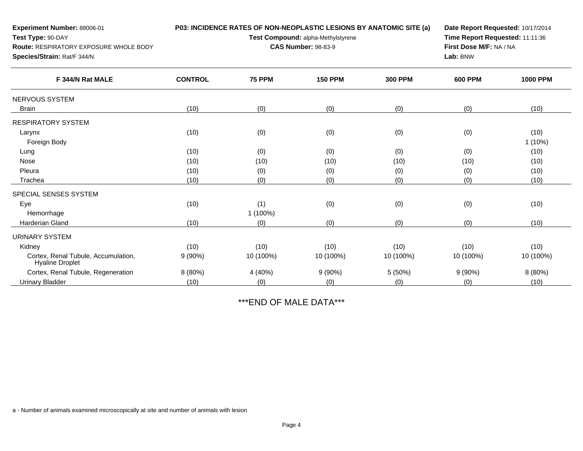| Experiment Number: 88006-01                                                                                           |                |                            | P03: INCIDENCE RATES OF NON-NEOPLASTIC LESIONS BY ANATOMIC SITE (a)<br>Test Compound: alpha-Methylstyrene |                | Date Report Requested: 10/17/2014 |                 |  |  |
|-----------------------------------------------------------------------------------------------------------------------|----------------|----------------------------|-----------------------------------------------------------------------------------------------------------|----------------|-----------------------------------|-----------------|--|--|
| Test Type: 90-DAY<br><b>Route: RESPIRATORY EXPOSURE WHOLE BODY</b><br>Species/Strain: Rat/F 344/N<br>F 344/N Rat MALE |                | <b>CAS Number: 98-83-9</b> | Time Report Requested: 11:11:36<br>First Dose M/F: NA / NA<br>Lab: BNW                                    |                |                                   |                 |  |  |
|                                                                                                                       | <b>CONTROL</b> | <b>75 PPM</b>              | <b>150 PPM</b>                                                                                            | <b>300 PPM</b> | <b>600 PPM</b>                    | <b>1000 PPM</b> |  |  |
| NERVOUS SYSTEM                                                                                                        |                |                            |                                                                                                           |                |                                   |                 |  |  |
| <b>Brain</b>                                                                                                          | (10)           | (0)                        | (0)                                                                                                       | (0)            | (0)                               | (10)            |  |  |
| <b>RESPIRATORY SYSTEM</b>                                                                                             |                |                            |                                                                                                           |                |                                   |                 |  |  |
| Larynx                                                                                                                | (10)           | (0)                        | (0)                                                                                                       | (0)            | (0)                               | (10)            |  |  |
| Foreign Body                                                                                                          |                |                            |                                                                                                           |                |                                   | $1(10\%)$       |  |  |
| Lung                                                                                                                  | (10)           | (0)                        | (0)                                                                                                       | (0)            | (0)                               | (10)            |  |  |
| <b>Nose</b>                                                                                                           | (10)           | (10)                       | (10)                                                                                                      | (10)           | (10)                              | (10)            |  |  |
| Pleura                                                                                                                | (10)           | (0)                        | (0)                                                                                                       | (0)            | (0)                               | (10)            |  |  |
| Trachea                                                                                                               | (10)           | (0)                        | (0)                                                                                                       | (0)            | (0)                               | (10)            |  |  |
| SPECIAL SENSES SYSTEM                                                                                                 |                |                            |                                                                                                           |                |                                   |                 |  |  |
| Eye                                                                                                                   | (10)           | (1)                        | (0)                                                                                                       | (0)            | (0)                               | (10)            |  |  |
| Hemorrhage                                                                                                            |                | 1 (100%)                   |                                                                                                           |                |                                   |                 |  |  |
| Harderian Gland                                                                                                       | (10)           | (0)                        | (0)                                                                                                       | (0)            | (0)                               | (10)            |  |  |
| <b>URINARY SYSTEM</b>                                                                                                 |                |                            |                                                                                                           |                |                                   |                 |  |  |
| Kidney                                                                                                                | (10)           | (10)                       | (10)                                                                                                      | (10)           | (10)                              | (10)            |  |  |
| Cortex, Renal Tubule, Accumulation,<br><b>Hyaline Droplet</b>                                                         | $9(90\%)$      | 10 (100%)                  | 10 (100%)                                                                                                 | 10 (100%)      | 10 (100%)                         | 10 (100%)       |  |  |
| Cortex, Renal Tubule, Regeneration                                                                                    | 8 (80%)        | 4 (40%)                    | 9(90%)                                                                                                    | 5(50%)         | 9(90%)                            | 8 (80%)         |  |  |
| <b>Urinary Bladder</b>                                                                                                | (10)           | (0)                        | (0)                                                                                                       | (0)            | (0)                               | (10)            |  |  |

\*\*\*END OF MALE DATA\*\*\*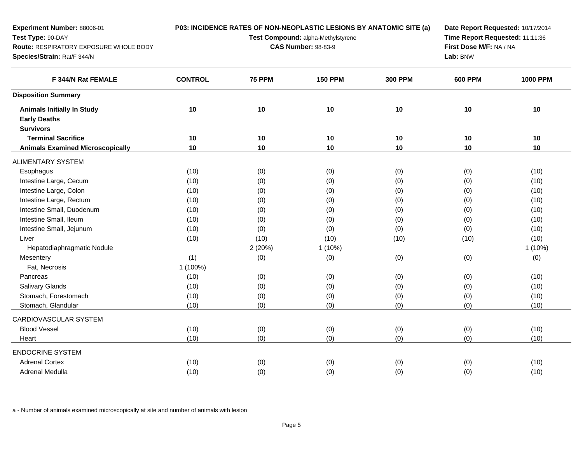| Experiment Number: 88006-01<br>Test Type: 90-DAY<br>Route: RESPIRATORY EXPOSURE WHOLE BODY<br>Species/Strain: Rat/F 344/N<br>F 344/N Rat FEMALE<br><b>Animals Initially In Study</b><br><b>Early Deaths</b><br><b>Survivors</b><br><b>Terminal Sacrifice</b><br><b>Animals Examined Microscopically</b><br>Esophagus<br>Intestine Large, Cecum |                |               | P03: INCIDENCE RATES OF NON-NEOPLASTIC LESIONS BY ANATOMIC SITE (a)<br>Test Compound: alpha-Methylstyrene<br><b>CAS Number: 98-83-9</b> |                | Date Report Requested: 10/17/2014<br>Time Report Requested: 11:11:36<br>First Dose M/F: NA / NA<br>Lab: BNW | <b>1000 PPM</b> |
|------------------------------------------------------------------------------------------------------------------------------------------------------------------------------------------------------------------------------------------------------------------------------------------------------------------------------------------------|----------------|---------------|-----------------------------------------------------------------------------------------------------------------------------------------|----------------|-------------------------------------------------------------------------------------------------------------|-----------------|
|                                                                                                                                                                                                                                                                                                                                                | <b>CONTROL</b> | <b>75 PPM</b> | <b>150 PPM</b>                                                                                                                          | <b>300 PPM</b> | <b>600 PPM</b>                                                                                              |                 |
| <b>Disposition Summary</b>                                                                                                                                                                                                                                                                                                                     |                |               |                                                                                                                                         |                |                                                                                                             |                 |
|                                                                                                                                                                                                                                                                                                                                                | $10$           | 10            | 10                                                                                                                                      | 10             | 10                                                                                                          | 10              |
|                                                                                                                                                                                                                                                                                                                                                |                |               |                                                                                                                                         |                |                                                                                                             |                 |
|                                                                                                                                                                                                                                                                                                                                                |                |               |                                                                                                                                         |                |                                                                                                             |                 |
|                                                                                                                                                                                                                                                                                                                                                | 10             | 10            | 10                                                                                                                                      | 10             | 10                                                                                                          | 10              |
|                                                                                                                                                                                                                                                                                                                                                | 10             | 10            | 10                                                                                                                                      | 10             | 10                                                                                                          | 10              |
| <b>ALIMENTARY SYSTEM</b>                                                                                                                                                                                                                                                                                                                       |                |               |                                                                                                                                         |                |                                                                                                             |                 |
|                                                                                                                                                                                                                                                                                                                                                | (10)           | (0)           | (0)                                                                                                                                     | (0)            | (0)                                                                                                         | (10)            |
|                                                                                                                                                                                                                                                                                                                                                | (10)           | (0)           | (0)                                                                                                                                     | (0)            | (0)                                                                                                         | (10)            |
| Intestine Large, Colon                                                                                                                                                                                                                                                                                                                         | (10)           | (0)           | (0)                                                                                                                                     | (0)            | (0)                                                                                                         | (10)            |
| Intestine Large, Rectum                                                                                                                                                                                                                                                                                                                        | (10)           | (0)           | (0)                                                                                                                                     | (0)            | (0)                                                                                                         | (10)            |
| Intestine Small, Duodenum                                                                                                                                                                                                                                                                                                                      | (10)           | (0)           | (0)                                                                                                                                     | (0)            | (0)                                                                                                         | (10)            |
| Intestine Small, Ileum                                                                                                                                                                                                                                                                                                                         | (10)           | (0)           | (0)                                                                                                                                     | (0)            | (0)                                                                                                         | (10)            |
| Intestine Small, Jejunum                                                                                                                                                                                                                                                                                                                       | (10)           | (0)           | (0)                                                                                                                                     | (0)            | (0)                                                                                                         | (10)            |
| Liver                                                                                                                                                                                                                                                                                                                                          | (10)           | (10)          | (10)                                                                                                                                    | (10)           | (10)                                                                                                        | (10)            |
| Hepatodiaphragmatic Nodule                                                                                                                                                                                                                                                                                                                     |                | 2(20%)        | $1(10\%)$                                                                                                                               |                |                                                                                                             | $1(10\%)$       |
| Mesentery                                                                                                                                                                                                                                                                                                                                      | (1)            | (0)           | (0)                                                                                                                                     | (0)            | (0)                                                                                                         | (0)             |
| Fat, Necrosis                                                                                                                                                                                                                                                                                                                                  | 1 (100%)       |               |                                                                                                                                         |                |                                                                                                             |                 |
| Pancreas                                                                                                                                                                                                                                                                                                                                       | (10)           | (0)           | (0)                                                                                                                                     | (0)            | (0)                                                                                                         | (10)            |
| <b>Salivary Glands</b>                                                                                                                                                                                                                                                                                                                         | (10)           | (0)           | (0)                                                                                                                                     | (0)            | (0)                                                                                                         | (10)            |
| Stomach, Forestomach                                                                                                                                                                                                                                                                                                                           | (10)           | (0)           | (0)                                                                                                                                     | (0)            | (0)                                                                                                         | (10)            |
| Stomach, Glandular                                                                                                                                                                                                                                                                                                                             | (10)           | (0)           | (0)                                                                                                                                     | (0)            | (0)                                                                                                         | (10)            |
| CARDIOVASCULAR SYSTEM                                                                                                                                                                                                                                                                                                                          |                |               |                                                                                                                                         |                |                                                                                                             |                 |
| <b>Blood Vessel</b>                                                                                                                                                                                                                                                                                                                            | (10)           | (0)           | (0)                                                                                                                                     | (0)            | (0)                                                                                                         | (10)            |
| Heart                                                                                                                                                                                                                                                                                                                                          | (10)           | (0)           | (0)                                                                                                                                     | (0)            | (0)                                                                                                         | (10)            |
| <b>ENDOCRINE SYSTEM</b>                                                                                                                                                                                                                                                                                                                        |                |               |                                                                                                                                         |                |                                                                                                             |                 |
| <b>Adrenal Cortex</b>                                                                                                                                                                                                                                                                                                                          | (10)           | (0)           | (0)                                                                                                                                     | (0)            | (0)                                                                                                         | (10)            |
| Adrenal Medulla                                                                                                                                                                                                                                                                                                                                | (10)           | (0)           | (0)                                                                                                                                     | (0)            | (0)                                                                                                         | (10)            |
|                                                                                                                                                                                                                                                                                                                                                |                |               |                                                                                                                                         |                |                                                                                                             |                 |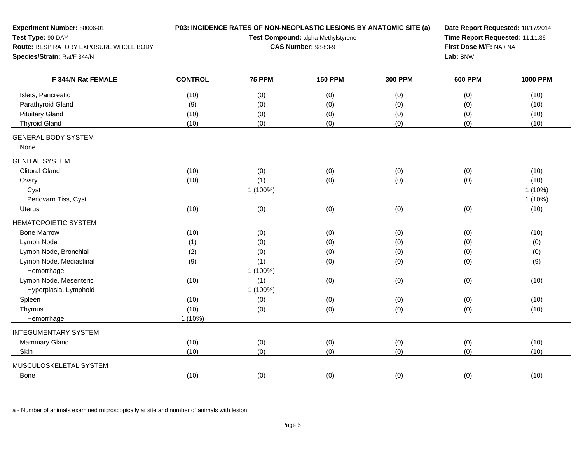| Experiment Number: 88006-01            | P03: INCIDENCE RATES OF NON-NEOPLASTIC LESIONS BY ANATOMIC SITE (a) |                                                                  |                |                |                | Date Report Requested: 10/17/2014 |  |  |
|----------------------------------------|---------------------------------------------------------------------|------------------------------------------------------------------|----------------|----------------|----------------|-----------------------------------|--|--|
| Test Type: 90-DAY                      |                                                                     | Test Compound: alpha-Methylstyrene<br><b>CAS Number: 98-83-9</b> |                |                |                | Time Report Requested: 11:11:36   |  |  |
| Route: RESPIRATORY EXPOSURE WHOLE BODY |                                                                     |                                                                  |                |                |                | First Dose M/F: NA / NA           |  |  |
| Species/Strain: Rat/F 344/N            |                                                                     |                                                                  | Lab: BNW       |                |                |                                   |  |  |
| F 344/N Rat FEMALE                     | <b>CONTROL</b>                                                      | <b>75 PPM</b>                                                    | <b>150 PPM</b> | <b>300 PPM</b> | <b>600 PPM</b> | <b>1000 PPM</b>                   |  |  |
| Islets, Pancreatic                     | (10)                                                                | (0)                                                              | (0)            | (0)            | (0)            | (10)                              |  |  |
| Parathyroid Gland                      | (9)                                                                 | (0)                                                              | (0)            | (0)            | (0)            | (10)                              |  |  |
| <b>Pituitary Gland</b>                 | (10)                                                                | (0)                                                              | (0)            | (0)            | (0)            | (10)                              |  |  |
| <b>Thyroid Gland</b>                   | (10)                                                                | (0)                                                              | (0)            | (0)            | (0)            | (10)                              |  |  |
| <b>GENERAL BODY SYSTEM</b><br>None     |                                                                     |                                                                  |                |                |                |                                   |  |  |
| <b>GENITAL SYSTEM</b>                  |                                                                     |                                                                  |                |                |                |                                   |  |  |
| <b>Clitoral Gland</b>                  | (10)                                                                | (0)                                                              | (0)            | (0)            | (0)            | (10)                              |  |  |
| Ovary                                  | (10)                                                                | (1)                                                              | (0)            | (0)            | (0)            | (10)                              |  |  |
| Cyst                                   |                                                                     | 1 (100%)                                                         |                |                |                | $1(10\%)$                         |  |  |
| Periovarn Tiss, Cyst                   |                                                                     |                                                                  |                |                |                | 1(10%)                            |  |  |
| Uterus                                 | (10)                                                                | (0)                                                              | (0)            | (0)            | (0)            | (10)                              |  |  |
| <b>HEMATOPOIETIC SYSTEM</b>            |                                                                     |                                                                  |                |                |                |                                   |  |  |
| <b>Bone Marrow</b>                     | (10)                                                                | (0)                                                              | (0)            | (0)            | (0)            | (10)                              |  |  |
| Lymph Node                             | (1)                                                                 | (0)                                                              | (0)            | (0)            | (0)            | (0)                               |  |  |
| Lymph Node, Bronchial                  | (2)                                                                 | (0)                                                              | (0)            | (0)            | (0)            | (0)                               |  |  |
| Lymph Node, Mediastinal                | (9)                                                                 | (1)                                                              | (0)            | (0)            | (0)            | (9)                               |  |  |
| Hemorrhage                             |                                                                     | 1 (100%)                                                         |                |                |                |                                   |  |  |
| Lymph Node, Mesenteric                 | (10)                                                                | (1)                                                              | (0)            | (0)            | (0)            | (10)                              |  |  |
| Hyperplasia, Lymphoid                  |                                                                     | 1 (100%)                                                         |                |                |                |                                   |  |  |
| Spleen                                 | (10)                                                                | (0)                                                              | (0)            | (0)            | (0)            | (10)                              |  |  |
| Thymus                                 | (10)                                                                | (0)                                                              | (0)            | (0)            | (0)            | (10)                              |  |  |
| Hemorrhage                             | $1(10\%)$                                                           |                                                                  |                |                |                |                                   |  |  |
| <b>INTEGUMENTARY SYSTEM</b>            |                                                                     |                                                                  |                |                |                |                                   |  |  |
| Mammary Gland                          | (10)                                                                | (0)                                                              | (0)            | (0)            | (0)            | (10)                              |  |  |
| Skin                                   | (10)                                                                | (0)                                                              | (0)            | (0)            | (0)            | (10)                              |  |  |
| MUSCULOSKELETAL SYSTEM                 |                                                                     |                                                                  |                |                |                |                                   |  |  |
| Bone                                   | (10)                                                                | (0)                                                              | (0)            | (0)            | (0)            | (10)                              |  |  |